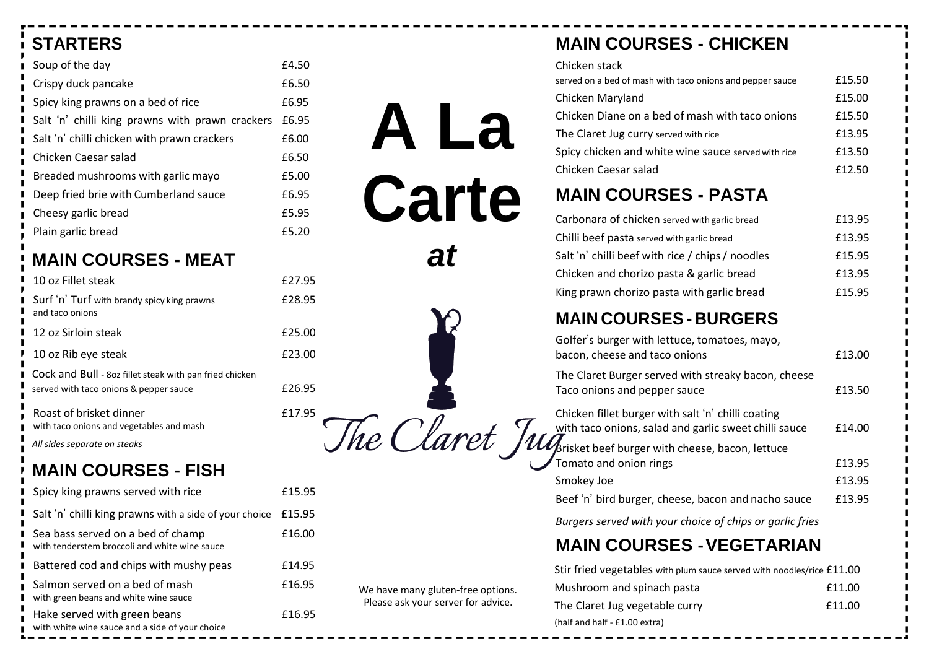# **STARTERS**

| Soup of the day                                 | £4.50 |
|-------------------------------------------------|-------|
| Crispy duck pancake                             | £6.50 |
| Spicy king prawns on a bed of rice              | £6.95 |
| Salt 'n' chilli king prawns with prawn crackers | £6.95 |
| Salt 'n' chilli chicken with prawn crackers     | £6.00 |
| Chicken Caesar salad                            | £6.50 |
| Breaded mushrooms with garlic mayo              | £5.00 |
| Deep fried brie with Cumberland sauce           | £6.95 |
| Cheesy garlic bread                             | £5.95 |
| Plain garlic bread                              | £5.20 |

## **MAIN COURSES - MEAT**

| 10 oz Fillet steak                                                                                | £27.95 |
|---------------------------------------------------------------------------------------------------|--------|
| Surf 'n' Turf with brandy spicy king prawns<br>and taco onions                                    | £28.95 |
| 12 oz Sirloin steak                                                                               | £25.00 |
| 10 oz Rib eye steak                                                                               | £23.00 |
| Cock and Bull - 80z fillet steak with pan fried chicken<br>served with taco onions & pepper sauce | £26.95 |
| Roast of brisket dinner                                                                           | £17.95 |

with taco onions and vegetables and mash *All sides separate on steaks*

# **MAIN COURSES - FISH**

| Spicy king prawns served with rice                                                 | £15.95 |
|------------------------------------------------------------------------------------|--------|
| Salt 'n' chilli king prawns with a side of your choice                             | £15.95 |
| Sea bass served on a bed of champ<br>with tenderstem broccoli and white wine sauce | £16.00 |
| Battered cod and chips with mushy peas                                             | £14.95 |
| Salmon served on a bed of mash<br>with green beans and white wine sauce            | £16.95 |
| Hake served with green beans<br>with white wine sauce and a side of your choice    | £16.95 |

## **MAIN COURSES - CHICKEN**

| MAIN AAIIRAPA<br>R A R T A                                |        |
|-----------------------------------------------------------|--------|
| Chicken Caesar salad                                      | £12.50 |
| Spicy chicken and white wine sauce served with rice       | £13.50 |
| The Claret Jug curry served with rice                     | £13.95 |
| Chicken Diane on a bed of mash with taco onions           | £15.50 |
| Chicken Maryland                                          | £15.00 |
| served on a bed of mash with taco onions and pepper sauce | £15.50 |
| Chicken stack                                             |        |

### **MAIN COURSES - PASTA**

**A La** 

**Carte**

*at*

We have many gluten-free options. Please ask your server for advice.

| Carbonara of chicken served with garlic bread    | £13.95 |
|--------------------------------------------------|--------|
| Chilli beef pasta served with garlic bread       | £13.95 |
| Salt 'n' chilli beef with rice / chips / noodles | £15.95 |
| Chicken and chorizo pasta & garlic bread         | £13.95 |
| King prawn chorizo pasta with garlic bread       | £15.95 |

## **MAIN COURSES - BURGERS**

Golfer's burger with lettuce, tomatoes, mayo, bacon, cheese and taco onions **E13.00** 

The Claret Burger served with streaky bacon, cheese Taco onions and pepper sauce **E13.50** 

Chicken fillet burger with salt 'n' chilli coating with taco onions, salad and garlic sweet chilli sauce  $\qquad$  £14.00 Brisket beef burger with cheese, bacon, lettuce Tomato and onion rings **E13.95** Smokey Joe **E13.95** 

Beef 'n' bird burger, cheese, bacon and nacho sauce £13.95

*Burgers served with your choice of chips or garlic fries*

## **MAIN COURSES -VEGETARIAN**

| Stir fried vegetables with plum sauce served with noodles/rice £11.00 |        |
|-----------------------------------------------------------------------|--------|
| Mushroom and spinach pasta                                            | £11.00 |
| The Claret Jug vegetable curry                                        | £11.00 |
| (half and half - £1.00 extra)                                         |        |